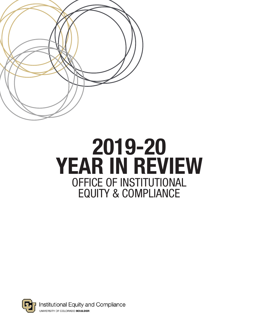

# OFFICE OF INSTITUTIONAL EQUITY & COMPLIANCE 2019-20 YEAR IN REVIEW



Institutional Equity and Compliance UNIVERSITY OF COLORADO BOULDER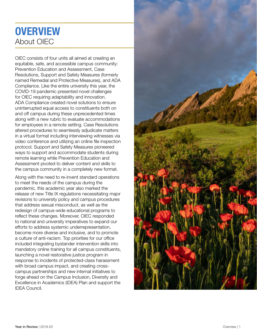# **OVERVIEW** About OIEC

OIEC consists of four units all aimed at creating an equitable, safe, and accessible campus community: Prevention Education and Assessment, Case Resolutions, Support and Safety Measures (formerly named Remedial and Protective Measures), and ADA Compliance. Like the entire university this year, the COVID-19 pandemic presented novel challenges for OIEC requiring adaptability and innovation. ADA Compliance created novel solutions to ensure uninterrupted equal access to constituents both on and off campus during these unprecedented times along with a new rubric to evaluate accommodations for employees in a remote setting. Case Resolutions altered procedures to seamlessly adjudicate matters in a virtual format including interviewing witnesses via video conference and utilizing an online file inspection protocol. Support and Safety Measures pioneered ways to support and accommodate students during remote learning while Prevention Education and Assessment pivoted to deliver content and skills to the campus community in a completely new format.

Along with the need to re-invent standard operations to meet the needs of the campus during the pandemic, this academic year also marked the release of new Title IX regulations necessitating major revisions to university policy and campus procedures that address sexual misconduct, as well as the redesign of campus-wide educational programs to reflect these changes. Moreover, OIEC responded to national and university imperatives to expand our efforts to address systemic underrepresentation, become more diverse and inclusive, and to promote a culture of anti-racism. Top priorities for our office included integrating bystander intervention skills into mandatory online training for all campus constituents, launching a novel restorative justice program in response to incidents of protected-class harassment with broad campus impact, and creating crosscampus partnerships and new internal initiatives to forge ahead on the Campus Inclusion, Diversity and Excellence in Academics (IDEA) Plan and support the IDEA Council.

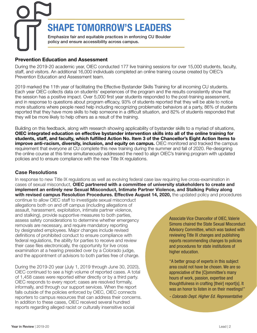SHAPE TOMORROW'S LEADERS Emphasize fair and equitable practices in enforcing CU Boulder policy and ensure accessibility across campus.

#### Prevention Education and Assessment

During the 2019-20 academic year, OIEC conducted 177 live training sessions for over 15,000 students, faculty, staff, and visitors. An additional 16,000 individuals completed an online training course created by OIEC's Prevention Education and Assessment team.

2019 marked the 11th year of facilitating the Effective Bystander Skills Training for all incoming CU students. Each year OIEC collects data on students' experiences of the program and the results consistently show that the session has a positive impact. Over 5,000 first year students responded to the post-training assessment, and in response to questions about program efficacy, 93% of students reported that they will be able to notice more situations where people need help including recognizing problematic behaviors at a party, 86% of students reported that they have more skills to help someone in a difficult situation, and 82% of students responded that they will be more likely to help others as a result of the training.

Building on this feedback, along with research showing applicability of bystander skills to a myriad of situations, OIEC integrated education on effective bystander intervention skills into all of the online training for students, staff, and faculty, which fulfilled Action No. Item 3 of the Chancellor's Eight Action Items to improve anti-racism, diversity, inclusion, and equity on campus. OIEC monitored and tracked the campus requirement that everyone at CU complete this new training during the summer and fall of 2020. Re-designing the online course at this time simultaneously addressed the need to align OIEC's training program with updated policies and to ensure compliance with the new Title IX regulations.

#### Case Resolutions

In response to new Title IX regulations as well as evolving federal case law requiring live cross-examination in cases of sexual misconduct, OIEC partnered with a committee of university stakeholders to create and implement an entirely new Sexual Misconduct, Intimate Partner Violence, and Stalking Policy along with revised campus Resolution Procedures. Effective August 14, 2020, the updated policy and procedures

continue to allow OIEC staff to investigate sexual misconduct allegations both on and off campus (including allegations of assault, harassment, exploitation, intimate partner violence, and stalking), provide supportive measures to both parties, assess safety considerations to determine whether emergency removals are necessary, and require mandatory reporting by designated employees. Major changes include revised definitions of prohibited conduct to ensure compliance with federal regulations, the ability for parties to receive and review their case files electronically, the opportunity for live cross examination at a hearing presided over by a Colorado judge, and the appointment of advisors to both parties free of charge.

During the 2019-20 year (July 1, 2019 through June 30, 2020), OIEC continued to see a high volume of reported cases. A total of 1,458 cases were reported either directly or by a third party. OIEC responds to every report; cases are resolved formally, informally, and through our support services. When the report falls outside of the policies enforced by OIEC, OIEC connects reporters to campus resources that can address their concerns. In addition to these cases, OIEC received several hundred reports regarding alleged racist or culturally insensitive social

Associate Vice Chancellor of OIEC, Valerie Simons chaired the State Sexual Misconduct Advisory Committee, which was tasked with reviewing Title IX changes and publishing reports recommending changes to policies and procedures for state institutions of higher education.

"A better group of experts in this subject area could not have be chosen. We are so appreciative of the [C]ommittee's many hours of work, passion, expertise and thoughtfulness in crafting [their] report[s]. It was an honor to listen in on their meetings!"

*- Colorado Dept. Higher Ed. Representative*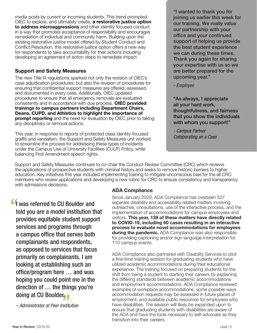media posts by current or incoming students. This trend prompted OIEC to explore, and ultimately create, **a restorative justice option** to address microaggressions and other identity focused conduct in a way that promotes acceptance of responsibility and encourages remediation of individual and community harm. Building upon the existing restorative justice model offered by Student Conduct and Conflict Resolution, this restorative justice option offers a new way for respondents to take accountability for their actions including developing an agreement of action steps to remediate impact.

#### Support and Safety Measures

The new Title IX regulations sparked not only the revision of OIEC's case adjudication procedures, but also the revision of procedures for ensuring that confidential support measures are offered, assessed, and documented in every case. Additionally, OIEC updated procedures to ensure that all emergency removals are evaluated consistently and in accordance with due process. OIEC provided trainings to campus partners including Department Chairs, Deans, CUPD, and Athletics to highlight the importance of **prompt reporting** and the need for evaluation by OIEC prior to taking any disciplinary or removal actions.

This year, in response to reports of protected class identity-focused graffiti and vandalism, the Support and Safety Measures unit worked to streamline the process for addressing these types of incidents under the Campus Use of University Facilities (CUUF) Policy, while balancing First Amendment speech rights.

"I wanted to thank you for joining us earlier this week for our training. We really value our partnership with your office and your continued support of helping us provide the best student experience we can during these times. Thank you again for sharing your expertise with us so we are better prepared for the upcoming year."

*- Employee*

"As always, I appreciate all your hard work, thoughtfulness, and fairness that you show the individuals with whom you support!"

*- Campus Partner Collaborating on a Case*

Support and Safety Measures continues to co-chair the Conduct Review Committee (CRC) which reviews the applications of prospective students with criminal history and seeks to remove historic barriers to higher education. Key initiatives this year included implementing training to mitigate unconscious bias for the all CRC members who review applications and developing a new rubric for CRC to ensure consistency and transparency with admissions decisions.

 $\frac{66}{10}$  direction of … the things you're doing at CU Boulder<mark>, ,</mark> I was referred to CU Boulder and told you are a model institution that provides equitable student support services and programs through a campus office that serves both complainants and respondents, as opposed to services that focus primarily on complainants. I am looking at establishing such an office/program here … and was hoping you could point me in the

*– Administrator at Peer Institution*

#### ADA Compliance

Since January 2020, ADA Compliance has overseen 527 separate disability and accessibility related matters involving outreaches, consultations, use of the interactive process, and the implementation of accommodations for campus employees and visitors. This year, 139 of these matters have directly related to COVID-19, including 60 cases resulting in an interactive process to evaluate novel accommodations for employees **during the pandemic.** ADA Compliance was also responsible for providing captioning and/or sign language interpretation for 110 campus events.

ADA Compliance also partnered with Disability Services to pilot a first-time training session for graduating students who have utilized academic accommodations during their educational experience. The training focused on preparing students for the shift from being a student to starting their careers by explaining the differing standards between academic accommodations and employment accommodations. ADA Compliance reviewed examples of workplace accommodations, some possible ways accommodation requests may be assessed in future places of employment, and available public resources for employees who have disabilities. The session will likely be expanded upon to ensure that graduating students with disabilities are aware of the ADA and have the tools necessary to self-advocate as they transition into their careers.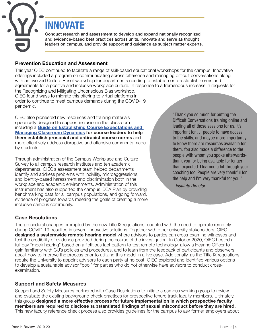INNOVATE

Conduct research and assessment to develop and expand nationally recognized and evidence-based best practices across units, innovate and serve as thought leaders on campus, and provide support and guidance as subject matter experts.

#### Prevention Education and Assessment

This year OIEC continued to facilitate a range of skill-based educational workshops for the campus. Innovative offerings included a program on communicating across difference and managing difficult conversations along with an evolved Culture Reset workshop for departments needing to establish or re-establish norms and agreements for a positive and inclusive workplace culture. In response to a tremendous increase in requests for the Recognizing and Mitigating Unconscious Bias workshop,

OIEC found ways to migrate this offering to virtual platforms in order to continue to meet campus demands during the COVID-19 pandemic.

OIEC also pioneered new resources and training materials specifically designed to support inclusion in the classroom including a Guide on Establishing Course Expectations and Managing Classroom Dynamics for course leaders to help them establish prosocial and antiracist course norms and more effectively address disruptive and offensive comments made by students.

Through administration of the Campus Workplace and Culture Survey to all campus research institutes and ten academic departments, OIEC's assessment team helped departments identify and address problems with incivility, microaggressions, and identity-based harassment and discrimination both in the workplace and academic environments. Administration of this instrument has also supported the campus IDEA Plan by providing benchmarking data for all campus populations, and going forward, evidence of progress towards meeting the goals of creating a more inclusive campus community.

"Thank you so much for putting the Difficult Conversations training online and leading all of those sessions for us. It's important for … people to have access to the skills, and maybe more importantly to know there are resources available for them. You also made a difference to the people with whom you spoke afterwardsthank you for being available for longer than expected. I learned a lot through your coaching too. People are very thankful for the help and I'm very thankful for you!"

*- Institute Director*

#### Case Resolutions

The procedural changes prompted by the new Title IX regulations, coupled with the need to operate remotely during COVID-19, resulted in several innovative solutions. Together with other university stakeholders, OIEC designed a systemwide remote hearing model where advisors to parties can cross-examine witnesses and test the credibility of evidence provided during the course of the investigation. In October 2020, OIEC hosted a full day "mock hearing" based on a fictitious fact pattern to test remote technology, allow a Hearing Officer to gain familiarity with CU's policies and procedures, and to learn from the feedback of participants and observers about how to improve the process prior to utilizing this model in a live case. Additionally, as the Title IX regulations require the University to appoint advisors to each party at no cost, OIEC explored and identified various options to develop a sustainable advisor "pool" for parties who do not otherwise have advisors to conduct crossexamination.

#### Support and Safety Measures

Support and Safety Measures partnered with Case Resolutions to initiate a campus working group to review and evaluate the existing background check practices for prospective tenure track faculty members. Ultimately, this group designed a more effective process for future implementation in which prospective faculty members are required to disclose substantiated findings of sexual misconduct before they are hired. This new faculty reference check process also provides guidelines for the campus to ask former employers about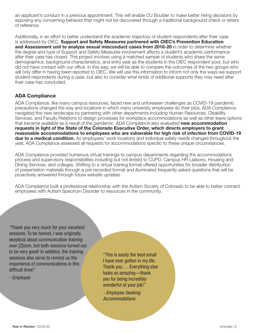an applicant's conduct in a previous appointment. This will enable CU Boulder to make better hiring decisions by exposing any concerning behavior that might not be discovered through a traditional background check or letters of reference.

Additionally, in an effort to better understand the academic trajectory of student respondents after their case is addressed by OIEC, Support and Safety Measures partnered with OIEC's Prevention Education and Assessment unit to analyze sexual misconduct cases from 2016-20 in order to determine whether the degree and type of Support and Safety Measures involvement affects a student's academic performance after their case has closed. This project involves using a matched sample of students who share the same demographics, background characteristics, and entry year as the students in the OIEC respondent pool, but who did not have contact with our office. In this way, we will be able to compare the outcomes of the two groups who will only differ in having been reported to OIEC. We will use this information to inform not only the ways we support student respondents during a case, but also to consider what kinds of additional supports they may need after their case has concluded.

#### ADA Compliance

ADA Compliance, like many campus resources, faced new and unforeseen challenges as COVID-19 pandemic precautions changed the way and locations in which many university employees do their jobs. ADA Compliance navigated this new landscape by partnering with other departments including Human Resources, Disability Services, and Faculty Relations to design processes for workplace accommodations as well as other leave options that became available as a result of the pandemic. ADA Compliance also evaluated new accommodation requests in light of the State of the Colorado Executive Order, which directs employers to grant reasonable accommodations to employees who are vulnerable for high risk of infection from COVID-19 due to a medical condition. As employees' work locations and individual safety needs changed throughout the year, ADA Compliance assessed all requests for accommodations specific to these unique circumstances.

ADA Compliance provided numerous virtual trainings to campus departments regarding the accommodations process and supervisory responsibilities including but not limited to CUPD, Campus HR Liaisons, Housing and Dining Services, and colleges. Shifting to a virtual training format offered opportunities for broader distribution of presentation materials through a pre-recorded format and illuminated frequently asked questions that will be proactively answered through future website updates.

ADA Compliance built a professional relationship with the Autism Society of Colorado to be able to better connect employees with Autism Spectrum Disorder to resources in the community.

"Thank you very much for your excellent sessions. To be honest, I was originally skeptical about communication training over [Z]oom, but both sessions turned out to be very good! In addition, the training sessions also serve to remind us the importance of communications in this difficult time!"

*- Employee*

"This is easily the best email I have ever gotten in my life. Thank you…. Everything else looks so amazing—thank you for being incredibly wonderful at your job!"

*- Employee Seeking Accommodations*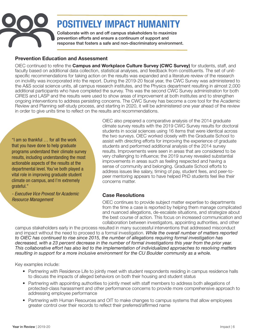

# POSITIVELY IMPACT HUMANITY

Collaborate with on and off campus stakeholders to maximize prevention efforts and ensure a continuum of support and response that fosters a safe and non-discriminatory environment.

#### Prevention Education and Assessment

OIEC continued to refine the **Campus and Workplace Culture Survey (CWC Survey)** for students, staff, and faculty based on additional data collection, statistical analyses, and feedback from constituents. The set of unitspecific recommendations for taking action on the results was expanded and a literature review of the research on incivility was incorporated into the report. During the 2019-20 fiscal year, the CWC Survey was administered to the A&S social science units, all campus research institutes, and the Physics department resulting in almost 2,000 additional participants who have completed the survey. This was the second CWC Survey administration for both CIRES and LASP and the results were used to show areas of improvement at both institutes and to strengthen ongoing interventions to address persisting concerns. The CWC Survey has become a core tool for the Academic Review and Planning self-study process, and starting in 2020, it will be administered one year ahead of the review in order to give units time to reflect on the results and recommendations.

"I am so thankful … for all the work that you have done to help graduate programs understand their climate survey results, including understanding the most actionable aspects of the results at the departmental level. You've both played a vital role in improving graduate student climate on campus, and I'm extremely grateful."

*- Executive Vice Provost for Academic Resource Management*

OIEC also prepared a comparative analysis of the 2014 graduate climate survey results with the 2019 CWC Survey results for doctoral students in social sciences using 16 items that were identical across the two surveys. OIEC worked closely with the Graduate School to assist with directing efforts for improving the experience of graduate students and performed additional analysis of the 2014 survey results. Improvements were seen in areas that are considered to be very challenging to influence; the 2019 survey revealed substantial improvements in areas such as feeling respected and having a sense of community and belonging. Graduate School efforts to address issues like salary, timing of pay, student fees, and peer-topeer mentoring appears to have helped PhD students feel like their concerns matter.

#### Case Resolutions

OIEC continues to provide subject matter expertise to departments from the time a case is reported by helping them manage complicated and nuanced allegations, de-escalate situations, and strategize about the best course of action. This focus on increased communication and collaboration between investigators, appointing authorities, and other

campus stakeholders early in the process resulted in many successful interventions that addressed misconduct and impact without the need to proceed to a formal investigation. *While the overall number of matters reported to OIEC has continued to rise since 2015, the number of allegations requiring formal investigation has decreased, with a 23 percent decrease in the number of formal investigations this year from the prior year. This collaborative effort has also led to the implementation of individualized approaches to resolving matters resulting in support for a more inclusive environment for the CU Boulder community as a whole.*

Key examples include:

- Partnering with Residence Life to jointly meet with student respondents residing in campus residence halls to discuss the impacts of alleged behaviors on both their housing and student status
- Partnering with appointing authorities to jointly meet with staff members to address both allegations of protected-class harassment and other performance concerns to provide more comprehensive approach to addressing employee performance
- Partnering with Human Resources and OIT to make changes to campus systems that allow employees greater control over their records to reflect their preferred/affirmed name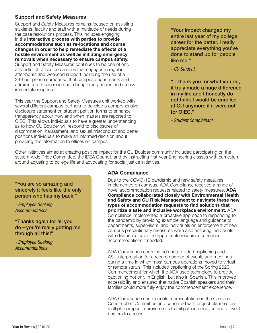#### Support and Safety Measures

Support and Safety Measures remains focused on assisting students, faculty and staff with a multitude of needs during the case resolutions process. This includes engaging in the interactive process with parties to provide accommodations such as re-locations and course changes in order to help remediate the effects of a hostile environment as well as initiating emergency removals when necessary to ensure campus safety. Support and Safety Measures continues to be one of only a handful of offices on campus that engages in regular after-hours and weekend support including the use of a 24-hour phone number so that campus departments and administrators can reach out during emergencies and receive immediate response.

This year the Support and Safety Measures unit worked with several different campus partners to develop a comprehensive disclosure statement on student petition forms to enhance transparency about how and when matters are reported to OIEC. This allows individuals to have a greater understanding as to how CU Boulder will respond to disclosures of discrimination, harassment, and sexual misconduct and better positions individuals to make an informed decision about providing this information to offices on campus.

"Your impact changed my entire last year of my college career for the better. I really appreciate everything you've done to stand up for people like me!"

*- CU Student*

"…thank you for what you do, it truly made a huge difference in my life and I honestly do not think I would be enrolled at CU anymore if it were not for OIEC."

*- Student Complainant*

Other initiatives aimed at creating positive impact for the CU Boulder community included participating on the system-wide Pride Committee, the IDEA Council, and by instructing first-year Engineering classes with curriculum around adjusting to college life and advocating for social justice initiatives.

"You are so amazing and sincerely it feels like the only person who has my back."

*- Employee Seeking Accommodations*

"Thanks again for all you do—you're really getting me through all this!"

*- Employee Seeking Accommodations*

#### ADA Compliance

Due to the COVID-19 pandemic and new safety measures implemented on campus, ADA Compliance received a range of novel accommodation requests related to safety measures. ADA Compliance collaborated closely with Environmental Health and Safety and CU Risk Management to navigate these new types of accommodation requests to find solutions that prioritize a safe and inclusive workplace environment. ADA Compliance implemented a proactive approach to responding to the pandemic by providing example language and guidance to departments, supervisors, and individuals on enforcement of new campus precautionary measures while also ensuring individuals with disabilities have the appropriate resources to request accommodations if needed.

ADA Compliance coordinated and provided captioning and ASL interpretation for a record number of events and meetings during a time in which most campus operations moved to virtual or remote status. This included captioning of the Spring 2020 Commencement for which the ADA used technology to provide captioning not only in English, but also in Spanish. This improved accessibility and ensured that native Spanish speakers and their families could more fully enjoy the commencement experience.

ADA Compliance continued its representation on the Campus Construction Committee and consulted with project planners on multiple campus improvements to mitigate interruption and prevent barriers to access.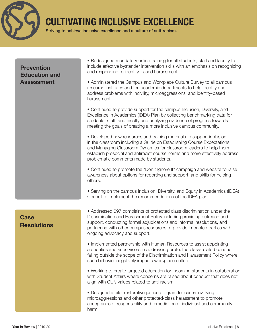

## CULTIVATING INCLUSIVE EXCELLENCE

Striving to achieve inclusive excellence and a culture of anti-racism.

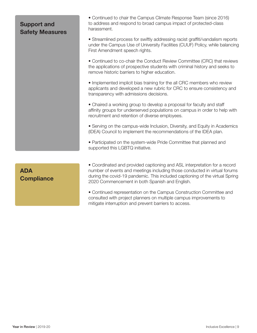### Support and Safety Measures

• Continued to chair the Campus Climate Response Team (since 2016) to address and respond to broad campus impact of protected-class harassment.

• Streamlined process for swiftly addressing racist graffiti/vandalism reports under the Campus Use of University Facilities (CUUF) Policy, while balancing First Amendment speech rights.

• Continued to co-chair the Conduct Review Committee (CRC) that reviews the applications of prospective students with criminal history and seeks to remove historic barriers to higher education.

• Implemented implicit bias training for the all CRC members who review applicants and developed a new rubric for CRC to ensure consistency and transparency with admissions decisions.

• Chaired a working group to develop a proposal for faculty and staff affinity groups for underserved populations on campus in order to help with recruitment and retention of diverse employees.

• Serving on the campus-wide Inclusion, Diversity, and Equity in Academics (IDEA) Council to implement the recommendations of the IDEA plan.

• Participated on the system-wide Pride Committee that planned and supported this LGBTQ initiative.

### ADA **Compliance**

• Coordinated and provided captioning and ASL interpretation for a record number of events and meetings including those conducted in virtual forums during the covid-19 pandemic. This included captioning of the virtual Spring 2020 Commencement in both Spanish and English.

• Continued representation on the Campus Construction Committee and consulted with project planners on multiple campus improvements to mitigate interruption and prevent barriers to access.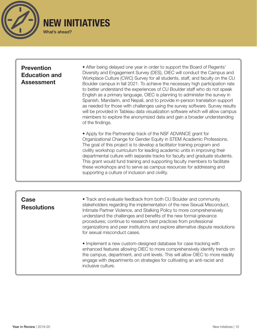

#### **Prevention** Education and Assessment

• After being delayed one year in order to support the Board of Regents' Diversity and Engagement Survey (DES), OIEC will conduct the Campus and Workplace Culture (CWC) Survey for all students, staff, and faculty on the CU Boulder campus in fall 2021. To achieve the necessary high participation rate to better understand the experiences of CU Boulder staff who do not speak English as a primary language, OIEC is planning to administer the survey in Spanish, Mandarin, and Nepali, and to provide in-person translation support as needed for those with challenges using the survey software. Survey results will be provided in Tableau data visualization software which will allow campus members to explore the anonymized data and gain a broader understanding of the findings.

• Apply for the Partnership track of the NSF ADVANCE grant for Organizational Change for Gender Equity in STEM Academic Professions. The goal of this project is to develop a facilitator training program and civility workshop curriculum for leading academic units in improving their departmental culture with separate tracks for faculty and graduate students. This grant would fund training and supporting faculty members to facilitate these workshops and to serve as campus resources for addressing and supporting a culture of inclusion and civility.

### **Case Resolutions**

• Track and evaluate feedback from both CU Boulder and community stakeholders regarding the implementation of the new Sexual Misconduct, Intimate Partner Violence, and Stalking Policy to more comprehensively understand the challenges and benefits of the new formal grievance procedures; continue to research best practices from professional organizations and peer institutions and explore alternative dispute resolutions for sexual misconduct cases.

• Implement a new custom-designed database for case tracking with enhanced features allowing OIEC to more comprehensively identify trends on the campus, department, and unit levels. This will allow OIEC to more readily engage with departments on strategies for cultivating an anti-racist and inclusive culture.